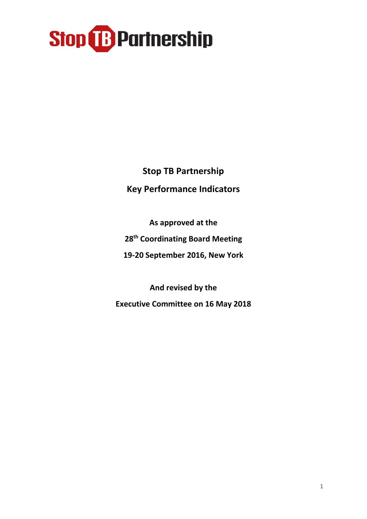**Stop TB Partnership Key Performance Indicators**

**As approved at the 28th Coordinating Board Meeting 19-20 September 2016, New York**

**And revised by the Executive Committee on 16 May 2018**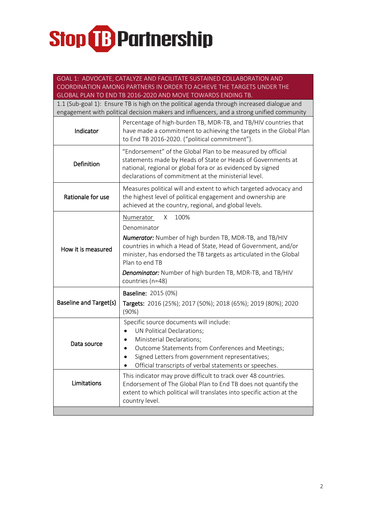| GOAL 1: ADVOCATE, CATALYZE AND FACILITATE SUSTAINED COLLABORATION AND<br>COORDINATION AMONG PARTNERS IN ORDER TO ACHIEVE THE TARGETS UNDER THE |                                                                                                                                                                                                                                                                                   |  |  |
|------------------------------------------------------------------------------------------------------------------------------------------------|-----------------------------------------------------------------------------------------------------------------------------------------------------------------------------------------------------------------------------------------------------------------------------------|--|--|
| GLOBAL PLAN TO END TB 2016-2020 AND MOVE TOWARDS ENDING TB.                                                                                    |                                                                                                                                                                                                                                                                                   |  |  |
| 1.1 (Sub-goal 1): Ensure TB is high on the political agenda through increased dialogue and                                                     |                                                                                                                                                                                                                                                                                   |  |  |
|                                                                                                                                                | engagement with political decision makers and influencers, and a strong unified community                                                                                                                                                                                         |  |  |
| Indicator                                                                                                                                      | Percentage of high-burden TB, MDR-TB, and TB/HIV countries that<br>have made a commitment to achieving the targets in the Global Plan<br>to End TB 2016-2020. ("political commitment").                                                                                           |  |  |
| Definition                                                                                                                                     | "Endorsement" of the Global Plan to be measured by official<br>statements made by Heads of State or Heads of Governments at<br>national, regional or global fora or as evidenced by signed<br>declarations of commitment at the ministerial level.                                |  |  |
| Rationale for use                                                                                                                              | Measures political will and extent to which targeted advocacy and<br>the highest level of political engagement and ownership are<br>achieved at the country, regional, and global levels.                                                                                         |  |  |
|                                                                                                                                                | 100%<br>Numerator<br>X                                                                                                                                                                                                                                                            |  |  |
| How it is measured                                                                                                                             | Denominator                                                                                                                                                                                                                                                                       |  |  |
|                                                                                                                                                | <b>Numerator:</b> Number of high burden TB, MDR-TB, and TB/HIV<br>countries in which a Head of State, Head of Government, and/or<br>minister, has endorsed the TB targets as articulated in the Global<br>Plan to end TB                                                          |  |  |
|                                                                                                                                                | <b>Denominator:</b> Number of high burden TB, MDR-TB, and TB/HIV<br>countries (n=48)                                                                                                                                                                                              |  |  |
|                                                                                                                                                | <b>Baseline: 2015 (0%)</b>                                                                                                                                                                                                                                                        |  |  |
| <b>Baseline and Target(s)</b>                                                                                                                  | Targets: 2016 (25%); 2017 (50%); 2018 (65%); 2019 (80%); 2020<br>(90%)                                                                                                                                                                                                            |  |  |
| Data source                                                                                                                                    | Specific source documents will include:<br>UN Political Declarations;<br>Ministerial Declarations;<br>Outcome Statements from Conferences and Meetings;<br>$\bullet$<br>Signed Letters from government representatives;<br>Official transcripts of verbal statements or speeches. |  |  |
| Limitations                                                                                                                                    | This indicator may prove difficult to track over 48 countries.<br>Endorsement of The Global Plan to End TB does not quantify the<br>extent to which political will translates into specific action at the<br>country level.                                                       |  |  |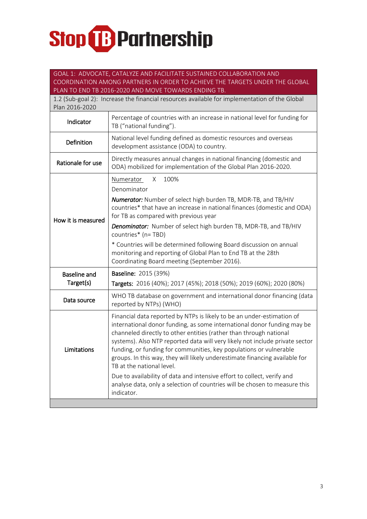#### GOAL 1: ADVOCATE, CATALYZE AND FACILITATE SUSTAINED COLLABORATION AND COORDINATION AMONG PARTNERS IN ORDER TO ACHIEVE THE TARGETS UNDER THE GLOBAL PLAN TO END TB 2016-2020 AND MOVE TOWARDS ENDING TB.

| <b>I LATE TO LITUDED LOTO ZOZO ATTUALMO LE TO MATTAO LITUMITO TU.</b><br>1.2 (Sub-goal 2): Increase the financial resources available for implementation of the Global<br>Plan 2016-2020 |                                                                                                                                                                                                                                                                                                                                                                                                                                                                                                                                                                                                                                                                  |  |
|------------------------------------------------------------------------------------------------------------------------------------------------------------------------------------------|------------------------------------------------------------------------------------------------------------------------------------------------------------------------------------------------------------------------------------------------------------------------------------------------------------------------------------------------------------------------------------------------------------------------------------------------------------------------------------------------------------------------------------------------------------------------------------------------------------------------------------------------------------------|--|
| Indicator                                                                                                                                                                                | Percentage of countries with an increase in national level for funding for<br>TB ("national funding").                                                                                                                                                                                                                                                                                                                                                                                                                                                                                                                                                           |  |
| Definition                                                                                                                                                                               | National level funding defined as domestic resources and overseas<br>development assistance (ODA) to country.                                                                                                                                                                                                                                                                                                                                                                                                                                                                                                                                                    |  |
| Rationale for use                                                                                                                                                                        | Directly measures annual changes in national financing (domestic and<br>ODA) mobilized for implementation of the Global Plan 2016-2020.                                                                                                                                                                                                                                                                                                                                                                                                                                                                                                                          |  |
| How it is measured                                                                                                                                                                       | 100%<br>Numerator<br>X<br>Denominator<br>Numerator: Number of select high burden TB, MDR-TB, and TB/HIV<br>countries* that have an increase in national finances (domestic and ODA)<br>for TB as compared with previous year<br><b>Denominator:</b> Number of select high burden TB, MDR-TB, and TB/HIV<br>countries* (n=TBD)<br>* Countries will be determined following Board discussion on annual<br>monitoring and reporting of Global Plan to End TB at the 28th<br>Coordinating Board meeting (September 2016).                                                                                                                                            |  |
| <b>Baseline and</b><br>Target(s)                                                                                                                                                         | Baseline: 2015 (39%)<br>Targets: 2016 (40%); 2017 (45%); 2018 (50%); 2019 (60%); 2020 (80%)                                                                                                                                                                                                                                                                                                                                                                                                                                                                                                                                                                      |  |
| Data source                                                                                                                                                                              | WHO TB database on government and international donor financing (data<br>reported by NTPs) (WHO)                                                                                                                                                                                                                                                                                                                                                                                                                                                                                                                                                                 |  |
| Limitations                                                                                                                                                                              | Financial data reported by NTPs is likely to be an under-estimation of<br>international donor funding, as some international donor funding may be<br>channeled directly to other entities (rather than through national<br>systems). Also NTP reported data will very likely not include private sector<br>funding, or funding for communities, key populations or vulnerable<br>groups. In this way, they will likely underestimate financing available for<br>TB at the national level.<br>Due to availability of data and intensive effort to collect, verify and<br>analyse data, only a selection of countries will be chosen to measure this<br>indicator. |  |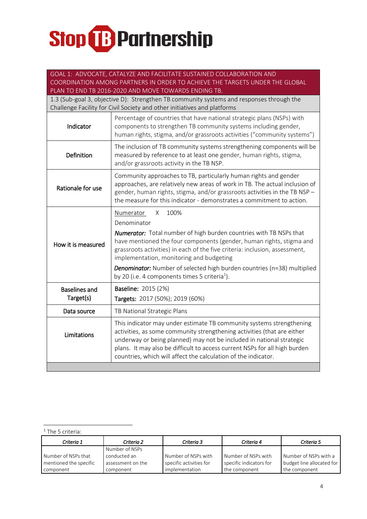| GOAL 1: ADVOCATE, CATALYZE AND FACILITATE SUSTAINED COLLABORATION AND        |                                                                                                                                                                                                                                                                                                                                                                                                                                                                      |  |
|------------------------------------------------------------------------------|----------------------------------------------------------------------------------------------------------------------------------------------------------------------------------------------------------------------------------------------------------------------------------------------------------------------------------------------------------------------------------------------------------------------------------------------------------------------|--|
| COORDINATION AMONG PARTNERS IN ORDER TO ACHIEVE THE TARGETS UNDER THE GLOBAL |                                                                                                                                                                                                                                                                                                                                                                                                                                                                      |  |
|                                                                              | PLAN TO END TB 2016-2020 AND MOVE TOWARDS ENDING TB.                                                                                                                                                                                                                                                                                                                                                                                                                 |  |
|                                                                              | 1.3 (Sub-goal 3, objective D): Strengthen TB community systems and responses through the<br>Challenge Facility for Civil Society and other initiatives and platforms                                                                                                                                                                                                                                                                                                 |  |
| Indicator                                                                    | Percentage of countries that have national strategic plans (NSPs) with<br>components to strengthen TB community systems including gender,<br>human rights, stigma, and/or grassroots activities ("community systems")                                                                                                                                                                                                                                                |  |
| Definition                                                                   | The inclusion of TB community systems strengthening components will be<br>measured by reference to at least one gender, human rights, stigma,<br>and/or grassroots activity in the TB NSP.                                                                                                                                                                                                                                                                           |  |
| Rationale for use                                                            | Community approaches to TB, particularly human rights and gender<br>approaches, are relatively new areas of work in TB. The actual inclusion of<br>gender, human rights, stigma, and/or grassroots activities in the TB NSP -<br>the measure for this indicator - demonstrates a commitment to action.                                                                                                                                                               |  |
| How it is measured                                                           | 100%<br>X<br>Numerator<br>Denominator<br><b>Numerator:</b> Total number of high burden countries with TB NSPs that<br>have mentioned the four components (gender, human rights, stigma and<br>grassroots activities) in each of the five criteria: inclusion, assessment,<br>implementation, monitoring and budgeting<br><b>Denominator:</b> Number of selected high burden countries (n=38) multiplied<br>by 20 (i.e. 4 components times 5 criteria <sup>1</sup> ). |  |
| <b>Baselines and</b><br>Target(s)                                            | <b>Baseline: 2015 (2%)</b><br>Targets: 2017 (50%); 2019 (60%)                                                                                                                                                                                                                                                                                                                                                                                                        |  |
| Data source                                                                  | TB National Strategic Plans                                                                                                                                                                                                                                                                                                                                                                                                                                          |  |
| Limitations                                                                  | This indicator may under estimate TB community systems strengthening<br>activities, as some community strengthening activities (that are either<br>underway or being planned) may not be included in national strategic<br>plans. It may also be difficult to access current NSPs for all high burden<br>countries, which will affect the calculation of the indicator.                                                                                              |  |
|                                                                              |                                                                                                                                                                                                                                                                                                                                                                                                                                                                      |  |

-<sup>1</sup> The 5 criteria:

| Criteria 1             | Criteria 2        | Criteria 3              | Criteria 4              | Criteria 5                |
|------------------------|-------------------|-------------------------|-------------------------|---------------------------|
|                        | Number of NSPs    |                         |                         |                           |
| Number of NSPs that    | conducted an      | Number of NSPs with     | Number of NSPs with     | Number of NSPs with a     |
| mentioned the specific | assessment on the | specific activities for | specific indicators for | budget line allocated for |
| component              | component         | implementation          | the component           | the component             |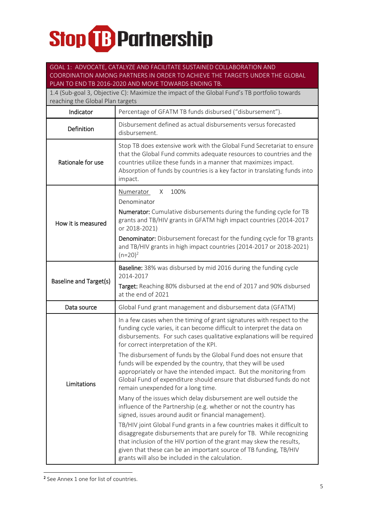### GOAL 1: ADVOCATE, CATALYZE AND FACILITATE SUSTAINED COLLABORATION AND COORDINATION AMONG PARTNERS IN ORDER TO ACHIEVE THE TARGETS UNDER THE GLOBAL PLAN TO END TB 2016-2020 AND MOVE TOWARDS ENDING TB.

| 1.4 (Sub-goal 3, Objective C): Maximize the impact of the Global Fund's TB portfolio towards<br>reaching the Global Plan targets |                                                                                                                                                                                                                                                                                                                                                                                                                                                                                                                                                                                                                                                                                                                                                                                                                                                                                                                                                                                                                                                                                                                                                        |  |
|----------------------------------------------------------------------------------------------------------------------------------|--------------------------------------------------------------------------------------------------------------------------------------------------------------------------------------------------------------------------------------------------------------------------------------------------------------------------------------------------------------------------------------------------------------------------------------------------------------------------------------------------------------------------------------------------------------------------------------------------------------------------------------------------------------------------------------------------------------------------------------------------------------------------------------------------------------------------------------------------------------------------------------------------------------------------------------------------------------------------------------------------------------------------------------------------------------------------------------------------------------------------------------------------------|--|
| Indicator                                                                                                                        | Percentage of GFATM TB funds disbursed ("disbursement").                                                                                                                                                                                                                                                                                                                                                                                                                                                                                                                                                                                                                                                                                                                                                                                                                                                                                                                                                                                                                                                                                               |  |
| Definition                                                                                                                       | Disbursement defined as actual disbursements versus forecasted<br>disbursement.                                                                                                                                                                                                                                                                                                                                                                                                                                                                                                                                                                                                                                                                                                                                                                                                                                                                                                                                                                                                                                                                        |  |
| Rationale for use                                                                                                                | Stop TB does extensive work with the Global Fund Secretariat to ensure<br>that the Global Fund commits adequate resources to countries and the<br>countries utilize these funds in a manner that maximizes impact.<br>Absorption of funds by countries is a key factor in translating funds into<br>impact.                                                                                                                                                                                                                                                                                                                                                                                                                                                                                                                                                                                                                                                                                                                                                                                                                                            |  |
| How it is measured                                                                                                               | Numerator<br>100%<br>X<br>Denominator<br><b>Numerator:</b> Cumulative disbursements during the funding cycle for TB<br>grants and TB/HIV grants in GFATM high impact countries (2014-2017<br>or 2018-2021)<br><b>Denominator:</b> Disbursement forecast for the funding cycle for TB grants<br>and TB/HIV grants in high impact countries (2014-2017 or 2018-2021)<br>$(n=20)^2$                                                                                                                                                                                                                                                                                                                                                                                                                                                                                                                                                                                                                                                                                                                                                                       |  |
| <b>Baseline and Target(s)</b>                                                                                                    | Baseline: 38% was disbursed by mid 2016 during the funding cycle<br>2014-2017<br>Target: Reaching 80% disbursed at the end of 2017 and 90% disbursed<br>at the end of 2021                                                                                                                                                                                                                                                                                                                                                                                                                                                                                                                                                                                                                                                                                                                                                                                                                                                                                                                                                                             |  |
| Data source                                                                                                                      | Global Fund grant management and disbursement data (GFATM)                                                                                                                                                                                                                                                                                                                                                                                                                                                                                                                                                                                                                                                                                                                                                                                                                                                                                                                                                                                                                                                                                             |  |
| Limitations                                                                                                                      | In a few cases when the timing of grant signatures with respect to the<br>funding cycle varies, it can become difficult to interpret the data on<br>disbursements. For such cases qualitative explanations will be required<br>for correct interpretation of the KPI.<br>The disbursement of funds by the Global Fund does not ensure that<br>funds will be expended by the country, that they will be used<br>appropriately or have the intended impact. But the monitoring from<br>Global Fund of expenditure should ensure that disbursed funds do not<br>remain unexpended for a long time.<br>Many of the issues which delay disbursement are well outside the<br>influence of the Partnership (e.g. whether or not the country has<br>signed, issues around audit or financial management).<br>TB/HIV joint Global Fund grants in a few countries makes it difficult to<br>disaggregate disbursements that are purely for TB. While recognizing<br>that inclusion of the HIV portion of the grant may skew the results,<br>given that these can be an important source of TB funding, TB/HIV<br>grants will also be included in the calculation. |  |

2 See Annex 1 one for list of countries.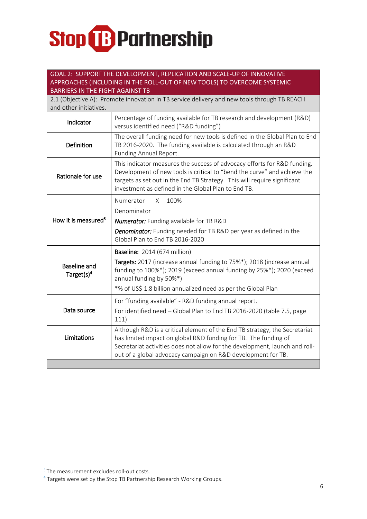#### GOAL 2: SUPPORT THE DEVELOPMENT, REPLICATION AND SCALE-UP OF INNOVATIVE APPROACHES (INCLUDING IN THE ROLL-OUT OF NEW TOOLS) TO OVERCOME SYSTEMIC BARRIERS IN THE FIGHT AGAINST TB

| 2.1 (Objective A): Promote innovation in TB service delivery and new tools through TB REACH<br>and other initiatives. |                                                                                                                                                                                                                                                                                         |  |
|-----------------------------------------------------------------------------------------------------------------------|-----------------------------------------------------------------------------------------------------------------------------------------------------------------------------------------------------------------------------------------------------------------------------------------|--|
| Indicator                                                                                                             | Percentage of funding available for TB research and development (R&D)<br>versus identified need ("R&D funding")                                                                                                                                                                         |  |
| Definition                                                                                                            | The overall funding need for new tools is defined in the Global Plan to End<br>TB 2016-2020. The funding available is calculated through an R&D<br>Funding Annual Report.                                                                                                               |  |
| Rationale for use                                                                                                     | This indicator measures the success of advocacy efforts for R&D funding.<br>Development of new tools is critical to "bend the curve" and achieve the<br>targets as set out in the End TB Strategy. This will require significant<br>investment as defined in the Global Plan to End TB. |  |
|                                                                                                                       | 100%<br>Numerator<br>X                                                                                                                                                                                                                                                                  |  |
| How it is measured <sup>3</sup>                                                                                       | Denominator                                                                                                                                                                                                                                                                             |  |
|                                                                                                                       | <b>Numerator:</b> Funding available for TB R&D                                                                                                                                                                                                                                          |  |
|                                                                                                                       | <b>Denominator:</b> Funding needed for TB R&D per year as defined in the<br>Global Plan to End TB 2016-2020                                                                                                                                                                             |  |
|                                                                                                                       | <b>Baseline:</b> 2014 (674 million)                                                                                                                                                                                                                                                     |  |
| <b>Baseline and</b><br>Target(s) <sup>4</sup>                                                                         | Targets: 2017 (increase annual funding to 75%*); 2018 (increase annual<br>funding to 100%*); 2019 (exceed annual funding by 25%*); 2020 (exceed<br>annual funding by 50%*)                                                                                                              |  |
|                                                                                                                       | *% of US\$ 1.8 billion annualized need as per the Global Plan                                                                                                                                                                                                                           |  |
|                                                                                                                       | For "funding available" - R&D funding annual report.                                                                                                                                                                                                                                    |  |
| Data source                                                                                                           | For identified need - Global Plan to End TB 2016-2020 (table 7.5, page<br>111)                                                                                                                                                                                                          |  |
| Limitations                                                                                                           | Although R&D is a critical element of the End TB strategy, the Secretariat<br>has limited impact on global R&D funding for TB. The funding of                                                                                                                                           |  |
|                                                                                                                       | Secretariat activities does not allow for the development, launch and roll-<br>out of a global advocacy campaign on R&D development for TB.                                                                                                                                             |  |
|                                                                                                                       |                                                                                                                                                                                                                                                                                         |  |

 $\overline{a}$ 

<sup>&</sup>lt;sup>3</sup> The measurement excludes roll-out costs.

<sup>4</sup> Targets were set by the Stop TB Partnership Research Working Groups.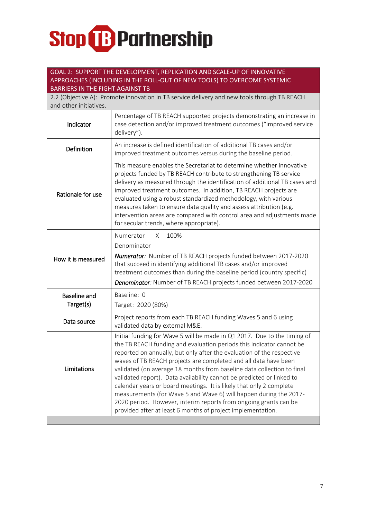### GOAL 2: SUPPORT THE DEVELOPMENT, REPLICATION AND SCALE-UP OF INNOVATIVE APPROACHES (INCLUDING IN THE ROLL-OUT OF NEW TOOLS) TO OVERCOME SYSTEMIC BARRIERS IN THE FIGHT AGAINST TB

| 2.2 (Objective A): Promote innovation in TB service delivery and new tools through TB REACH<br>and other initiatives. |                                                                                                                                                                                                                                                                                                                                                                                                                                                                                                                                                                                                                                                                                                                                |  |
|-----------------------------------------------------------------------------------------------------------------------|--------------------------------------------------------------------------------------------------------------------------------------------------------------------------------------------------------------------------------------------------------------------------------------------------------------------------------------------------------------------------------------------------------------------------------------------------------------------------------------------------------------------------------------------------------------------------------------------------------------------------------------------------------------------------------------------------------------------------------|--|
| Indicator                                                                                                             | Percentage of TB REACH supported projects demonstrating an increase in<br>case detection and/or improved treatment outcomes ("improved service<br>delivery").                                                                                                                                                                                                                                                                                                                                                                                                                                                                                                                                                                  |  |
| Definition                                                                                                            | An increase is defined identification of additional TB cases and/or<br>improved treatment outcomes versus during the baseline period.                                                                                                                                                                                                                                                                                                                                                                                                                                                                                                                                                                                          |  |
| Rationale for use                                                                                                     | This measure enables the Secretariat to determine whether innovative<br>projects funded by TB REACH contribute to strengthening TB service<br>delivery as measured through the identification of additional TB cases and<br>improved treatment outcomes. In addition, TB REACH projects are<br>evaluated using a robust standardized methodology, with various<br>measures taken to ensure data quality and assess attribution (e.g.<br>intervention areas are compared with control area and adjustments made<br>for secular trends, where appropriate).                                                                                                                                                                      |  |
| How it is measured                                                                                                    | 100%<br>Numerator<br>Х.<br>Denominator<br><b>Numerator:</b> Number of TB REACH projects funded between 2017-2020<br>that succeed in identifying additional TB cases and/or improved<br>treatment outcomes than during the baseline period (country specific)<br>Denominator: Number of TB REACH projects funded between 2017-2020                                                                                                                                                                                                                                                                                                                                                                                              |  |
| <b>Baseline and</b><br>Target(s)                                                                                      | Baseline: 0<br>Target: 2020 (80%)                                                                                                                                                                                                                                                                                                                                                                                                                                                                                                                                                                                                                                                                                              |  |
| Data source                                                                                                           | Project reports from each TB REACH funding Waves 5 and 6 using<br>validated data by external M&E.                                                                                                                                                                                                                                                                                                                                                                                                                                                                                                                                                                                                                              |  |
| Limitations                                                                                                           | Initial funding for Wave 5 will be made in Q1 2017. Due to the timing of<br>the TB REACH funding and evaluation periods this indicator cannot be<br>reported on annually, but only after the evaluation of the respective<br>waves of TB REACH projects are completed and all data have been<br>validated (on average 18 months from baseline data collection to final<br>validated report). Data availability cannot be predicted or linked to<br>calendar years or board meetings. It is likely that only 2 complete<br>measurements (for Wave 5 and Wave 6) will happen during the 2017-<br>2020 period. However, interim reports from ongoing grants can be<br>provided after at least 6 months of project implementation. |  |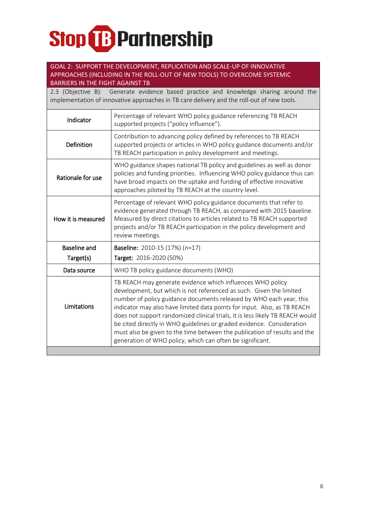### GOAL 2: SUPPORT THE DEVELOPMENT, REPLICATION AND SCALE-UP OF INNOVATIVE APPROACHES (INCLUDING IN THE ROLL-OUT OF NEW TOOLS) TO OVERCOME SYSTEMIC BARRIERS IN THE FIGHT AGAINST TB

2.3 (Objective B): Generate evidence based practice and knowledge sharing around the implementation of innovative approaches in TB care delivery and the roll-out of new tools.

| Indicator           | Percentage of relevant WHO policy guidance referencing TB REACH<br>supported projects ("policy influence").                                                                                                                                                                                                                                                                                                                                                                                                                                                                              |
|---------------------|------------------------------------------------------------------------------------------------------------------------------------------------------------------------------------------------------------------------------------------------------------------------------------------------------------------------------------------------------------------------------------------------------------------------------------------------------------------------------------------------------------------------------------------------------------------------------------------|
| <b>Definition</b>   | Contribution to advancing policy defined by references to TB REACH<br>supported projects or articles in WHO policy guidance documents and/or<br>TB REACH participation in policy development and meetings.                                                                                                                                                                                                                                                                                                                                                                               |
| Rationale for use   | WHO guidance shapes national TB policy and guidelines as well as donor<br>policies and funding priorities. Influencing WHO policy guidance thus can<br>have broad impacts on the uptake and funding of effective innovative<br>approaches piloted by TB REACH at the country level.                                                                                                                                                                                                                                                                                                      |
| How it is measured  | Percentage of relevant WHO policy guidance documents that refer to<br>evidence generated through TB REACH, as compared with 2015 baseline.<br>Measured by direct citations to articles related to TB REACH supported<br>projects and/or TB REACH participation in the policy development and<br>review meetings.                                                                                                                                                                                                                                                                         |
| <b>Baseline and</b> | Baseline: 2010-15 (17%) (n=17)                                                                                                                                                                                                                                                                                                                                                                                                                                                                                                                                                           |
| Target(s)           | Target: 2016-2020 (50%)                                                                                                                                                                                                                                                                                                                                                                                                                                                                                                                                                                  |
| Data source         | WHO TB policy guidance documents (WHO)                                                                                                                                                                                                                                                                                                                                                                                                                                                                                                                                                   |
| Limitations         | TB REACH may generate evidence which influences WHO policy<br>development, but which is not referenced as such. Given the limited<br>number of policy guidance documents released by WHO each year, this<br>indicator may also have limited data points for input. Also, as TB REACH<br>does not support randomized clinical trials, it is less likely TB REACH would<br>be cited directly in WHO guidelines or graded evidence. Consideration<br>must also be given to the time between the publication of results and the<br>generation of WHO policy, which can often be significant. |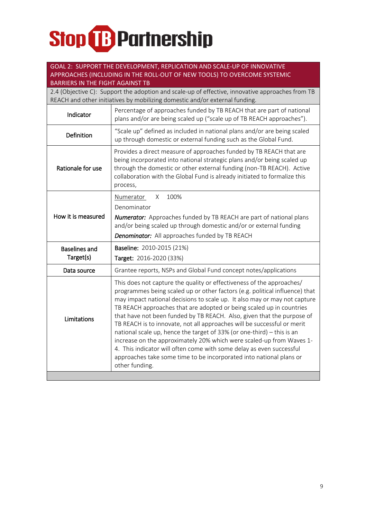### GOAL 2: SUPPORT THE DEVELOPMENT, REPLICATION AND SCALE-UP OF INNOVATIVE APPROACHES (INCLUDING IN THE ROLL-OUT OF NEW TOOLS) TO OVERCOME SYSTEMIC

BARRIERS IN THE FIGHT AGAINST TB 2.4 (Objective C): Support the adoption and scale-up of effective, innovative approaches from TB REACH and other initiatives by mobilizing domestic and/or external funding. Indicator Percentage of approaches funded by TB REACH that are part of national plans and/or are being scaled up ("scale up of TB REACH approaches"). Definition "Scale up" defined as included in national plans and/or are being scaled up through domestic or external funding such as the Global Fund. Rationale for use Provides a direct measure of approaches funded by TB REACH that are being incorporated into national strategic plans and/or being scaled up through the domestic or other external funding (non-TB REACH). Active collaboration with the Global Fund is already initiated to formalize this process, How it is measured Numerator X 100% Denominator *Numerator:* Approaches funded by TB REACH are part of national plans and/or being scaled up through domestic and/or or external funding *Denominator:* All approaches funded by TB REACH Baselines and Target(s) Baseline: 2010-2015 (21%) Target: 2016-2020 (33%) Data source Grantee reports, NSPs and Global Fund concept notes/applications

| Limitations | This does not capture the quality or effectiveness of the approaches/<br>programmes being scaled up or other factors (e.g. political influence) that<br>may impact national decisions to scale up. It also may or may not capture<br>TB REACH approaches that are adopted or being scaled up in countries<br>that have not been funded by TB REACH. Also, given that the purpose of<br>TB REACH is to innovate, not all approaches will be successful or merit<br>national scale up, hence the target of 33% (or one-third) - this is an<br>increase on the approximately 20% which were scaled-up from Waves 1-<br>4. This indicator will often come with some delay as even successful<br>approaches take some time to be incorporated into national plans or<br>other funding. |
|-------------|-----------------------------------------------------------------------------------------------------------------------------------------------------------------------------------------------------------------------------------------------------------------------------------------------------------------------------------------------------------------------------------------------------------------------------------------------------------------------------------------------------------------------------------------------------------------------------------------------------------------------------------------------------------------------------------------------------------------------------------------------------------------------------------|
|-------------|-----------------------------------------------------------------------------------------------------------------------------------------------------------------------------------------------------------------------------------------------------------------------------------------------------------------------------------------------------------------------------------------------------------------------------------------------------------------------------------------------------------------------------------------------------------------------------------------------------------------------------------------------------------------------------------------------------------------------------------------------------------------------------------|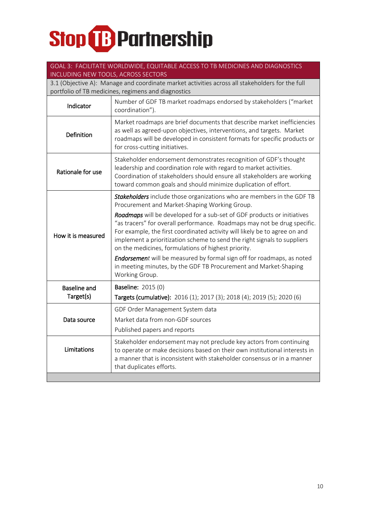### GOAL 3: FACILITATE WORLDWIDE, EQUITABLE ACCESS TO TB MEDICINES AND DIAGNOSTICS INCLUDING NEW TOOLS, ACROSS SECTORS

3.1 (Objective A): Manage and coordinate market activities across all stakeholders for the full portfolio of TB medicines, regimens and diagnostics

| Indicator           | Number of GDF TB market roadmaps endorsed by stakeholders ("market<br>coordination").                                                                                                                                                                                                                                                                                |
|---------------------|----------------------------------------------------------------------------------------------------------------------------------------------------------------------------------------------------------------------------------------------------------------------------------------------------------------------------------------------------------------------|
| Definition          | Market roadmaps are brief documents that describe market inefficiencies<br>as well as agreed-upon objectives, interventions, and targets. Market<br>roadmaps will be developed in consistent formats for specific products or<br>for cross-cutting initiatives.                                                                                                      |
| Rationale for use   | Stakeholder endorsement demonstrates recognition of GDF's thought<br>leadership and coordination role with regard to market activities.<br>Coordination of stakeholders should ensure all stakeholders are working<br>toward common goals and should minimize duplication of effort.                                                                                 |
|                     | Stakeholders include those organizations who are members in the GDF TB<br>Procurement and Market-Shaping Working Group.                                                                                                                                                                                                                                              |
| How it is measured  | Roadmaps will be developed for a sub-set of GDF products or initiatives<br>"as tracers" for overall performance. Roadmaps may not be drug specific.<br>For example, the first coordinated activity will likely be to agree on and<br>implement a prioritization scheme to send the right signals to suppliers<br>on the medicines, formulations of highest priority. |
|                     | <b>Endorsement</b> will be measured by formal sign off for roadmaps, as noted<br>in meeting minutes, by the GDF TB Procurement and Market-Shaping<br>Working Group.                                                                                                                                                                                                  |
| <b>Baseline and</b> | <b>Baseline: 2015 (0)</b>                                                                                                                                                                                                                                                                                                                                            |
| Target(s)           | Targets (cumulative): 2016 (1); 2017 (3); 2018 (4); 2019 (5); 2020 (6)                                                                                                                                                                                                                                                                                               |
|                     | GDF Order Management System data                                                                                                                                                                                                                                                                                                                                     |
| Data source         | Market data from non-GDF sources                                                                                                                                                                                                                                                                                                                                     |
|                     | Published papers and reports                                                                                                                                                                                                                                                                                                                                         |
| Limitations         | Stakeholder endorsement may not preclude key actors from continuing<br>to operate or make decisions based on their own institutional interests in<br>a manner that is inconsistent with stakeholder consensus or in a manner<br>that duplicates efforts.                                                                                                             |
|                     |                                                                                                                                                                                                                                                                                                                                                                      |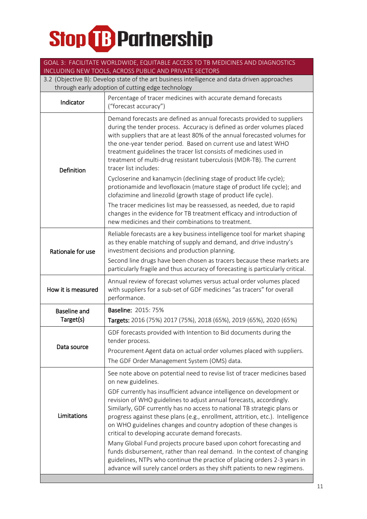|                                                                                              | GOAL 3: FACILITATE WORLDWIDE, EQUITABLE ACCESS TO TB MEDICINES AND DIAGNOSTICS<br>INCLUDING NEW TOOLS, ACROSS PUBLIC AND PRIVATE SECTORS                                                                                                                                                                                                                                                                                                                                |  |  |
|----------------------------------------------------------------------------------------------|-------------------------------------------------------------------------------------------------------------------------------------------------------------------------------------------------------------------------------------------------------------------------------------------------------------------------------------------------------------------------------------------------------------------------------------------------------------------------|--|--|
| 3.2 (Objective B): Develop state of the art business intelligence and data driven approaches |                                                                                                                                                                                                                                                                                                                                                                                                                                                                         |  |  |
| through early adoption of cutting edge technology                                            |                                                                                                                                                                                                                                                                                                                                                                                                                                                                         |  |  |
| Indicator                                                                                    | Percentage of tracer medicines with accurate demand forecasts<br>("forecast accuracy")                                                                                                                                                                                                                                                                                                                                                                                  |  |  |
| <b>Definition</b>                                                                            | Demand forecasts are defined as annual forecasts provided to suppliers<br>during the tender process. Accuracy is defined as order volumes placed<br>with suppliers that are at least 80% of the annual forecasted volumes for<br>the one-year tender period. Based on current use and latest WHO<br>treatment guidelines the tracer list consists of medicines used in<br>treatment of multi-drug resistant tuberculosis (MDR-TB). The current<br>tracer list includes: |  |  |
|                                                                                              | Cycloserine and kanamycin (declining stage of product life cycle);<br>protionamide and levofloxacin (mature stage of product life cycle); and<br>clofazimine and linezolid (growth stage of product life cycle).<br>The tracer medicines list may be reassessed, as needed, due to rapid<br>changes in the evidence for TB treatment efficacy and introduction of<br>new medicines and their combinations to treatment.                                                 |  |  |
| Rationale for use                                                                            | Reliable forecasts are a key business intelligence tool for market shaping<br>as they enable matching of supply and demand, and drive industry's<br>investment decisions and production planning.                                                                                                                                                                                                                                                                       |  |  |
|                                                                                              | Second line drugs have been chosen as tracers because these markets are<br>particularly fragile and thus accuracy of forecasting is particularly critical.                                                                                                                                                                                                                                                                                                              |  |  |
| How it is measured                                                                           | Annual review of forecast volumes versus actual order volumes placed<br>with suppliers for a sub-set of GDF medicines "as tracers" for overall<br>performance.                                                                                                                                                                                                                                                                                                          |  |  |
| <b>Baseline and</b>                                                                          | <b>Baseline: 2015: 75%</b>                                                                                                                                                                                                                                                                                                                                                                                                                                              |  |  |
| Target(s)                                                                                    | Targets: 2016 (75%) 2017 (75%), 2018 (65%), 2019 (65%), 2020 (65%)                                                                                                                                                                                                                                                                                                                                                                                                      |  |  |
|                                                                                              | GDF forecasts provided with Intention to Bid documents during the<br>tender process.                                                                                                                                                                                                                                                                                                                                                                                    |  |  |
| Data source                                                                                  | Procurement Agent data on actual order volumes placed with suppliers.                                                                                                                                                                                                                                                                                                                                                                                                   |  |  |
|                                                                                              | The GDF Order Management System (OMS) data.                                                                                                                                                                                                                                                                                                                                                                                                                             |  |  |
| Limitations                                                                                  | See note above on potential need to revise list of tracer medicines based<br>on new guidelines.                                                                                                                                                                                                                                                                                                                                                                         |  |  |
|                                                                                              | GDF currently has insufficient advance intelligence on development or<br>revision of WHO guidelines to adjust annual forecasts, accordingly.<br>Similarly, GDF currently has no access to national TB strategic plans or<br>progress against these plans (e.g., enrollment, attrition, etc.). Intelligence<br>on WHO guidelines changes and country adoption of these changes is<br>critical to developing accurate demand forecasts.                                   |  |  |
|                                                                                              | Many Global Fund projects procure based upon cohort forecasting and<br>funds disbursement, rather than real demand. In the context of changing<br>guidelines, NTPs who continue the practice of placing orders 2-3 years in<br>advance will surely cancel orders as they shift patients to new regimens.                                                                                                                                                                |  |  |
|                                                                                              |                                                                                                                                                                                                                                                                                                                                                                                                                                                                         |  |  |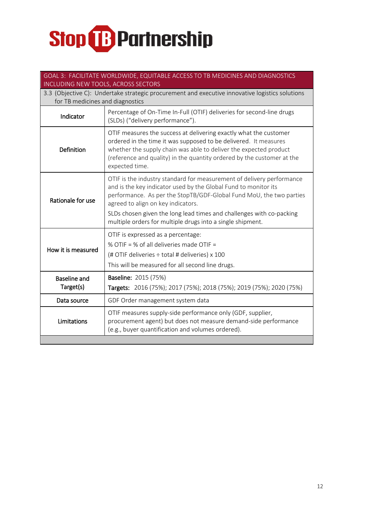| GOAL 3: FACILITATE WORLDWIDE, EQUITABLE ACCESS TO TB MEDICINES AND DIAGNOSTICS<br>INCLUDING NEW TOOLS, ACROSS SECTORS               |                                                                                                                                                                                                                                                                                                                                                                                             |  |
|-------------------------------------------------------------------------------------------------------------------------------------|---------------------------------------------------------------------------------------------------------------------------------------------------------------------------------------------------------------------------------------------------------------------------------------------------------------------------------------------------------------------------------------------|--|
| 3.3 (Objective C): Undertake strategic procurement and executive innovative logistics solutions<br>for TB medicines and diagnostics |                                                                                                                                                                                                                                                                                                                                                                                             |  |
| Indicator                                                                                                                           | Percentage of On-Time In-Full (OTIF) deliveries for second-line drugs<br>(SLDs) ("delivery performance").                                                                                                                                                                                                                                                                                   |  |
| Definition                                                                                                                          | OTIF measures the success at delivering exactly what the customer<br>ordered in the time it was supposed to be delivered. It measures<br>whether the supply chain was able to deliver the expected product<br>(reference and quality) in the quantity ordered by the customer at the<br>expected time.                                                                                      |  |
| Rationale for use                                                                                                                   | OTIF is the industry standard for measurement of delivery performance<br>and is the key indicator used by the Global Fund to monitor its<br>performance. As per the StopTB/GDF-Global Fund MoU, the two parties<br>agreed to align on key indicators.<br>SLDs chosen given the long lead times and challenges with co-packing<br>multiple orders for multiple drugs into a single shipment. |  |
| How it is measured                                                                                                                  | OTIF is expressed as a percentage:<br>% OTIF = % of all deliveries made OTIF =<br>(# OTIF deliveries ÷ total # deliveries) x 100<br>This will be measured for all second line drugs.                                                                                                                                                                                                        |  |
| <b>Baseline and</b><br>Target(s)                                                                                                    | <b>Baseline: 2015 (75%)</b><br>Targets: 2016 (75%); 2017 (75%); 2018 (75%); 2019 (75%); 2020 (75%)                                                                                                                                                                                                                                                                                          |  |
| Data source                                                                                                                         | GDF Order management system data                                                                                                                                                                                                                                                                                                                                                            |  |
| Limitations                                                                                                                         | OTIF measures supply-side performance only (GDF, supplier,<br>procurement agent) but does not measure demand-side performance<br>(e.g., buyer quantification and volumes ordered).                                                                                                                                                                                                          |  |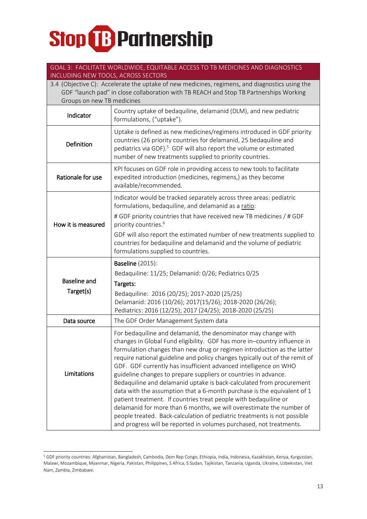#### GOAL 3: FACILITATE WORLDWIDE, EQUITABLE ACCESS TO TB MEDICINES AND DIAGNOSTICS INCLUDING NEW TOOLS, ACROSS SECTORS

| 3.4 (Objective C): Accelerate the uptake of new medicines, regimens, and diagnostics using the<br>GDF "launch pad" in close collaboration with TB REACH and Stop TB Partnerships Working<br>Groups on new TB medicines |                                                                                                                                                                                                                                                                                                                                                                                                                                                                                                                                                                                                                                                                                                                                                                                                                                                                                               |  |
|------------------------------------------------------------------------------------------------------------------------------------------------------------------------------------------------------------------------|-----------------------------------------------------------------------------------------------------------------------------------------------------------------------------------------------------------------------------------------------------------------------------------------------------------------------------------------------------------------------------------------------------------------------------------------------------------------------------------------------------------------------------------------------------------------------------------------------------------------------------------------------------------------------------------------------------------------------------------------------------------------------------------------------------------------------------------------------------------------------------------------------|--|
| Indicator                                                                                                                                                                                                              | Country uptake of bedaquiline, delamanid (DLM), and new pediatric<br>formulations, ("uptake").                                                                                                                                                                                                                                                                                                                                                                                                                                                                                                                                                                                                                                                                                                                                                                                                |  |
| Definition                                                                                                                                                                                                             | Uptake is defined as new medicines/regimens introduced in GDF priority<br>countries (26 priority countries for delamanid, 25 bedaquiline and<br>pediatrics via GDF). <sup>5</sup> GDF will also report the volume or estimated<br>number of new treatments supplied to priority countries.                                                                                                                                                                                                                                                                                                                                                                                                                                                                                                                                                                                                    |  |
| Rationale for use                                                                                                                                                                                                      | KPI focuses on GDF role in providing access to new tools to facilitate<br>expedited introduction (medicines, regimens,) as they become<br>available/recommended.                                                                                                                                                                                                                                                                                                                                                                                                                                                                                                                                                                                                                                                                                                                              |  |
| How it is measured                                                                                                                                                                                                     | Indicator would be tracked separately across three areas: pediatric<br>formulations, bedaquiline, and delamanid as a ratio:<br># GDF priority countries that have received new TB medicines / # GDF<br>priority countries. <sup>6</sup><br>GDF will also report the estimated number of new treatments supplied to                                                                                                                                                                                                                                                                                                                                                                                                                                                                                                                                                                            |  |
|                                                                                                                                                                                                                        | countries for bedaquiline and delamanid and the volume of pediatric<br>formulations supplied to countries.                                                                                                                                                                                                                                                                                                                                                                                                                                                                                                                                                                                                                                                                                                                                                                                    |  |
|                                                                                                                                                                                                                        | <b>Baseline</b> (2015):                                                                                                                                                                                                                                                                                                                                                                                                                                                                                                                                                                                                                                                                                                                                                                                                                                                                       |  |
| <b>Baseline and</b>                                                                                                                                                                                                    | Bedaquiline: 11/25; Delamanid: 0/26; Pediatrics 0/25<br>Targets:                                                                                                                                                                                                                                                                                                                                                                                                                                                                                                                                                                                                                                                                                                                                                                                                                              |  |
| Target(s)                                                                                                                                                                                                              | Bedaquiline: 2016 (20/25); 2017-2020 (25/25)                                                                                                                                                                                                                                                                                                                                                                                                                                                                                                                                                                                                                                                                                                                                                                                                                                                  |  |
|                                                                                                                                                                                                                        | Delamanid: 2016 (10/26); 2017(15/26); 2018-2020 (26/26);                                                                                                                                                                                                                                                                                                                                                                                                                                                                                                                                                                                                                                                                                                                                                                                                                                      |  |
|                                                                                                                                                                                                                        | Pediatrics: 2016 (12/25); 2017 (24/25); 2018-2020 (25/25)                                                                                                                                                                                                                                                                                                                                                                                                                                                                                                                                                                                                                                                                                                                                                                                                                                     |  |
| Data source                                                                                                                                                                                                            | The GDF Order Management System data                                                                                                                                                                                                                                                                                                                                                                                                                                                                                                                                                                                                                                                                                                                                                                                                                                                          |  |
| Limitations                                                                                                                                                                                                            | For bedaquiline and delamanid, the denominator may change with<br>changes in Global Fund eligibility. GDF has more in-country influence in<br>formulation changes than new drug or regimen introduction as the latter<br>require national guideline and policy changes typically out of the remit of<br>GDF. GDF currently has insufficient advanced intelligence on WHO<br>guideline changes to prepare suppliers or countries in advance.<br>Bedaquiline and delamanid uptake is back-calculated from procurement<br>data with the assumption that a 6-month purchase is the equivalent of 1<br>patient treatment. If countries treat people with bedaquiline or<br>delamanid for more than 6 months, we will overestimate the number of<br>people treated. Back-calculation of pediatric treatments is not possible<br>and progress will be reported in volumes purchased, not treatments. |  |

<sup>-</sup><sup>5</sup> GDF priority countries: Afghanistan, Bangladesh, Cambodia, Dem Rep Congo, Ethiopia, India, Indonesia, Kazakhstan, Kenya, Kyrgyzstan, Malawi, Mozambique, Myanmar, Nigeria, Pakistan, Philippines, S Africa, S Sudan, Tajikistan, Tanzania, Uganda, Ukraine, Uzbekistan, Viet Nam, Zambia, Zimbabwe.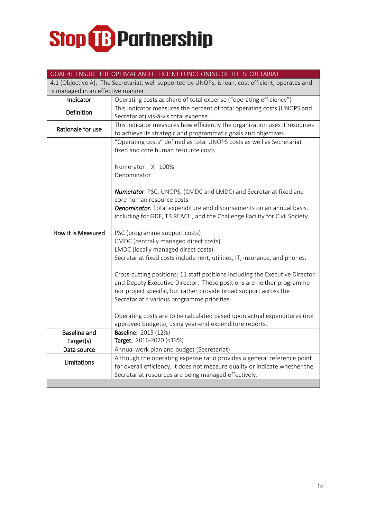|                                   | GOAL 4: ENSURE THE OPTIMAL AND EFFICIENT FUNCTIONING OF THE SECRETARIAT                            |  |
|-----------------------------------|----------------------------------------------------------------------------------------------------|--|
|                                   | 4.1 (Objective A): The Secretariat, well supported by UNOPs, is lean, cost efficient, operates and |  |
| is managed in an effective manner |                                                                                                    |  |
| Indicator                         | Operating costs as share of total expense ("operating efficiency")                                 |  |
|                                   | This indicator measures the percent of total operating costs (UNOPS and                            |  |
| Definition                        | Secretariat) vis-à-vis total expense.                                                              |  |
| Rationale for use                 | This indicator measures how efficiently the organization uses it resources                         |  |
|                                   | to achieve its strategic and programmatic goals and objectives.                                    |  |
|                                   | "Operating costs" defined as total UNOPS costs as well as Secretariat                              |  |
|                                   | fixed and core human resource costs                                                                |  |
|                                   |                                                                                                    |  |
|                                   | Numerator X 100%                                                                                   |  |
|                                   | Denominator                                                                                        |  |
|                                   |                                                                                                    |  |
|                                   | Numerator: PSC, UNOPS, (CMDC and LMDC) and Secretariat fixed and                                   |  |
|                                   | core human resource costs                                                                          |  |
|                                   | Denominator: Total expenditure and disbursements on an annual basis,                               |  |
|                                   | including for GDF, TB REACH, and the Challenge Facility for Civil Society.                         |  |
|                                   |                                                                                                    |  |
| How it is Measured                | PSC (programme support costs)                                                                      |  |
|                                   | CMDC (centrally managed direct costs)                                                              |  |
|                                   | LMDC (locally managed direct costs)                                                                |  |
|                                   | Secretariat fixed costs include rent, utilities, IT, insurance, and phones.                        |  |
|                                   | Cross-cutting positions: 11 staff positions including the Executive Director                       |  |
|                                   | and Deputy Executive Director. These positions are neither programme                               |  |
|                                   | nor project specific, but rather provide broad support across the                                  |  |
|                                   | Secretariat's various programme priorities.                                                        |  |
|                                   |                                                                                                    |  |
|                                   | Operating costs are to be calculated based upon actual expenditures (not                           |  |
|                                   | approved budgets), using year-end expenditure reports.                                             |  |
| <b>Baseline and</b>               | <b>Baseline: 2015 (12%)</b>                                                                        |  |
| Target(s)                         | Target: 2016-2020 (<13%)                                                                           |  |
| Data source                       | Annual work plan and budget (Secretariat)                                                          |  |
|                                   | Although the operating expense ratio provides a general reference point                            |  |
| Limitations                       | for overall efficiency, it does not measure quality or indicate whether the                        |  |
|                                   | Secretariat resources are being managed effectively.                                               |  |
|                                   |                                                                                                    |  |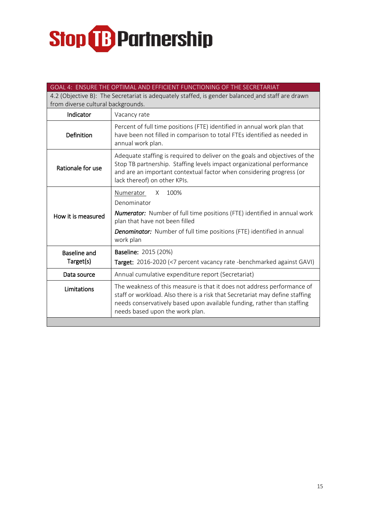| GOAL 4: ENSURE THE OPTIMAL AND EFFICIENT FUNCTIONING OF THE SECRETARIAT                          |                                                                                                                                                                                                                                                                       |  |
|--------------------------------------------------------------------------------------------------|-----------------------------------------------------------------------------------------------------------------------------------------------------------------------------------------------------------------------------------------------------------------------|--|
| 4.2 (Objective B): The Secretariat is adequately staffed, is gender balanced and staff are drawn |                                                                                                                                                                                                                                                                       |  |
| from diverse cultural backgrounds.                                                               |                                                                                                                                                                                                                                                                       |  |
| Indicator                                                                                        | Vacancy rate                                                                                                                                                                                                                                                          |  |
| Definition                                                                                       | Percent of full time positions (FTE) identified in annual work plan that<br>have been not filled in comparison to total FTEs identified as needed in<br>annual work plan.                                                                                             |  |
| Rationale for use                                                                                | Adequate staffing is required to deliver on the goals and objectives of the<br>Stop TB partnership. Staffing levels impact organizational performance<br>and are an important contextual factor when considering progress (or<br>lack thereof) on other KPIs.         |  |
| How it is measured                                                                               | 100%<br>Numerator<br>X<br>Denominator<br><b>Numerator:</b> Number of full time positions (FTE) identified in annual work<br>plan that have not been filled<br><b>Denominator:</b> Number of full time positions (FTE) identified in annual<br>work plan               |  |
| <b>Baseline and</b>                                                                              | <b>Baseline: 2015 (20%)</b>                                                                                                                                                                                                                                           |  |
| Target(s)                                                                                        | Target: 2016-2020 (<7 percent vacancy rate -benchmarked against GAVI)                                                                                                                                                                                                 |  |
| Data source                                                                                      | Annual cumulative expenditure report (Secretariat)                                                                                                                                                                                                                    |  |
| Limitations                                                                                      | The weakness of this measure is that it does not address performance of<br>staff or workload. Also there is a risk that Secretariat may define staffing<br>needs conservatively based upon available funding, rather than staffing<br>needs based upon the work plan. |  |
|                                                                                                  |                                                                                                                                                                                                                                                                       |  |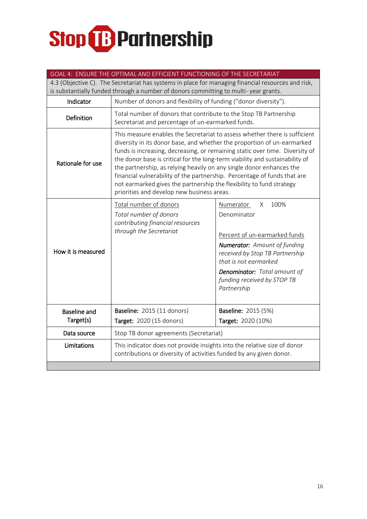| GOAL 4: ENSURE THE OPTIMAL AND EFFICIENT FUNCTIONING OF THE SECRETARIAT                                                                                                                   |                                                                                                                                                                                                                                                                                                                                                                                                                                                                                                                                                                                                 |                                                                                                                                                                                                                                                         |  |
|-------------------------------------------------------------------------------------------------------------------------------------------------------------------------------------------|-------------------------------------------------------------------------------------------------------------------------------------------------------------------------------------------------------------------------------------------------------------------------------------------------------------------------------------------------------------------------------------------------------------------------------------------------------------------------------------------------------------------------------------------------------------------------------------------------|---------------------------------------------------------------------------------------------------------------------------------------------------------------------------------------------------------------------------------------------------------|--|
| 4.3 (Objective C). The Secretariat has systems in place for managing financial resources and risk,<br>is substantially funded through a number of donors committing to multi-year grants. |                                                                                                                                                                                                                                                                                                                                                                                                                                                                                                                                                                                                 |                                                                                                                                                                                                                                                         |  |
| Indicator                                                                                                                                                                                 | Number of donors and flexibility of funding ("donor diversity").                                                                                                                                                                                                                                                                                                                                                                                                                                                                                                                                |                                                                                                                                                                                                                                                         |  |
| <b>Definition</b>                                                                                                                                                                         | Total number of donors that contribute to the Stop TB Partnership<br>Secretariat and percentage of un-earmarked funds.                                                                                                                                                                                                                                                                                                                                                                                                                                                                          |                                                                                                                                                                                                                                                         |  |
| Rationale for use                                                                                                                                                                         | This measure enables the Secretariat to assess whether there is sufficient<br>diversity in its donor base, and whether the proportion of un-earmarked<br>funds is increasing, decreasing, or remaining static over time. Diversity of<br>the donor base is critical for the long-term viability and sustainability of<br>the partnership, as relying heavily on any single donor enhances the<br>financial vulnerability of the partnership. Percentage of funds that are<br>not earmarked gives the partnership the flexibility to fund strategy<br>priorities and develop new business areas. |                                                                                                                                                                                                                                                         |  |
| How it is measured                                                                                                                                                                        | Total number of donors<br>Total number of donors<br>contributing financial resources<br>through the Secretariat                                                                                                                                                                                                                                                                                                                                                                                                                                                                                 | 100%<br>Numerator<br>X<br>Denominator<br>Percent of un-earmarked funds<br><b>Numerator:</b> Amount of funding<br>received by Stop TB Partnership<br>that is not earmarked<br>Denominator: Total amount of<br>funding received by STOP TB<br>Partnership |  |
| <b>Baseline and</b><br>Target(s)                                                                                                                                                          | Baseline: 2015 (11 donors)                                                                                                                                                                                                                                                                                                                                                                                                                                                                                                                                                                      | <b>Baseline: 2015 (5%)</b>                                                                                                                                                                                                                              |  |
|                                                                                                                                                                                           | Target: 2020 (15 donors)                                                                                                                                                                                                                                                                                                                                                                                                                                                                                                                                                                        | Target: 2020 (10%)                                                                                                                                                                                                                                      |  |
| Data source                                                                                                                                                                               | Stop TB donor agreements (Secretariat)                                                                                                                                                                                                                                                                                                                                                                                                                                                                                                                                                          |                                                                                                                                                                                                                                                         |  |
| Limitations                                                                                                                                                                               | This indicator does not provide insights into the relative size of donor<br>contributions or diversity of activities funded by any given donor.                                                                                                                                                                                                                                                                                                                                                                                                                                                 |                                                                                                                                                                                                                                                         |  |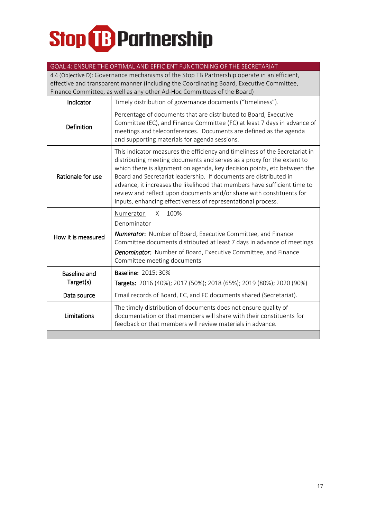|                                                                                                                                                                                                                                                                     | GOAL 4: ENSURE THE OPTIMAL AND EFFICIENT FUNCTIONING OF THE SECRETARIAT                                                                                                                                                                                                                                                                                                                                                                                                                                                     |  |
|---------------------------------------------------------------------------------------------------------------------------------------------------------------------------------------------------------------------------------------------------------------------|-----------------------------------------------------------------------------------------------------------------------------------------------------------------------------------------------------------------------------------------------------------------------------------------------------------------------------------------------------------------------------------------------------------------------------------------------------------------------------------------------------------------------------|--|
| 4.4 (Objective D): Governance mechanisms of the Stop TB Partnership operate in an efficient,<br>effective and transparent manner (including the Coordinating Board, Executive Committee,<br>Finance Committee, as well as any other Ad-Hoc Committees of the Board) |                                                                                                                                                                                                                                                                                                                                                                                                                                                                                                                             |  |
| Indicator                                                                                                                                                                                                                                                           | Timely distribution of governance documents ("timeliness").                                                                                                                                                                                                                                                                                                                                                                                                                                                                 |  |
| Definition                                                                                                                                                                                                                                                          | Percentage of documents that are distributed to Board, Executive<br>Committee (EC), and Finance Committee (FC) at least 7 days in advance of<br>meetings and teleconferences. Documents are defined as the agenda<br>and supporting materials for agenda sessions.                                                                                                                                                                                                                                                          |  |
| Rationale for use                                                                                                                                                                                                                                                   | This indicator measures the efficiency and timeliness of the Secretariat in<br>distributing meeting documents and serves as a proxy for the extent to<br>which there is alignment on agenda, key decision points, etc between the<br>Board and Secretariat leadership. If documents are distributed in<br>advance, it increases the likelihood that members have sufficient time to<br>review and reflect upon documents and/or share with constituents for<br>inputs, enhancing effectiveness of representational process. |  |
| How it is measured                                                                                                                                                                                                                                                  | 100%<br>Numerator<br>X<br>Denominator<br><b>Numerator:</b> Number of Board, Executive Committee, and Finance<br>Committee documents distributed at least 7 days in advance of meetings<br>Denominator: Number of Board, Executive Committee, and Finance<br>Committee meeting documents                                                                                                                                                                                                                                     |  |
| <b>Baseline and</b><br>Target(s)                                                                                                                                                                                                                                    | <b>Baseline: 2015: 30%</b><br>Targets: 2016 (40%); 2017 (50%); 2018 (65%); 2019 (80%); 2020 (90%)                                                                                                                                                                                                                                                                                                                                                                                                                           |  |
| Data source                                                                                                                                                                                                                                                         | Email records of Board, EC, and FC documents shared (Secretariat).                                                                                                                                                                                                                                                                                                                                                                                                                                                          |  |
| Limitations                                                                                                                                                                                                                                                         | The timely distribution of documents does not ensure quality of<br>documentation or that members will share with their constituents for<br>feedback or that members will review materials in advance.                                                                                                                                                                                                                                                                                                                       |  |
|                                                                                                                                                                                                                                                                     |                                                                                                                                                                                                                                                                                                                                                                                                                                                                                                                             |  |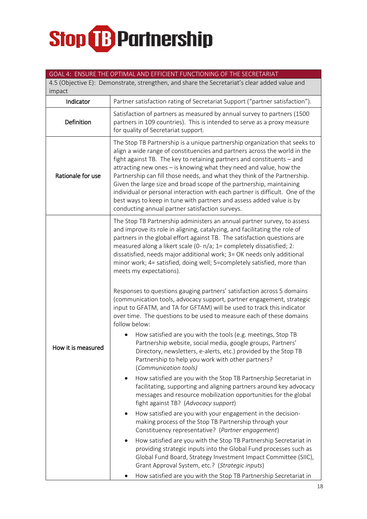#### GOAL 4: ENSURE THE OPTIMAL AND EFFICIENT FUNCTIONING OF THE SECRETARIAT

4.5 (Objective E): Demonstrate, strengthen, and share the Secretariat's clear added value and impact

| Indicator          | Partner satisfaction rating of Secretariat Support ("partner satisfaction").                                                                                                                                                                                                                                                                                                                                                                                                                                                                                                                                                                                                                                                                                                                                     |  |
|--------------------|------------------------------------------------------------------------------------------------------------------------------------------------------------------------------------------------------------------------------------------------------------------------------------------------------------------------------------------------------------------------------------------------------------------------------------------------------------------------------------------------------------------------------------------------------------------------------------------------------------------------------------------------------------------------------------------------------------------------------------------------------------------------------------------------------------------|--|
| Definition         | Satisfaction of partners as measured by annual survey to partners (1500<br>partners in 109 countries). This is intended to serve as a proxy measure<br>for quality of Secretariat support.                                                                                                                                                                                                                                                                                                                                                                                                                                                                                                                                                                                                                       |  |
| Rationale for use  | The Stop TB Partnership is a unique partnership organization that seeks to<br>align a wide range of constituencies and partners across the world in the<br>fight against TB. The key to retaining partners and constituents - and<br>attracting new ones - is knowing what they need and value, how the<br>Partnership can fill those needs, and what they think of the Partnership.<br>Given the large size and broad scope of the partnership, maintaining<br>individual or personal interaction with each partner is difficult. One of the<br>best ways to keep in tune with partners and assess added value is by<br>conducting annual partner satisfaction surveys.                                                                                                                                         |  |
|                    | The Stop TB Partnership administers an annual partner survey, to assess<br>and improve its role in aligning, catalyzing, and facilitating the role of<br>partners in the global effort against TB. The satisfaction questions are<br>measured along a likert scale (0- n/a; 1= completely dissatisfied; 2:<br>dissatisfied, needs major additional work; 3= OK needs only additional<br>minor work; 4= satisfied, doing well; 5=completely satisfied, more than<br>meets my expectations).<br>Responses to questions gauging partners' satisfaction across 5 domains<br>(communication tools, advocacy support, partner engagement, strategic<br>input to GFATM, and TA for GFTAM) will be used to track this indicator<br>over time. The questions to be used to measure each of these domains<br>follow below: |  |
| How it is measured | How satisfied are you with the tools (e.g. meetings, Stop TB<br>Partnership website, social media, google groups, Partners'<br>Directory, newsletters, e-alerts, etc.) provided by the Stop TB<br>Partnership to help you work with other partners?<br>(Communication tools)<br>How satisfied are you with the Stop TB Partnership Secretariat in<br>facilitating, supporting and aligning partners around key advocacy<br>messages and resource mobilization opportunities for the global<br>fight against TB? (Advocacy support)<br>How satisfied are you with your engagement in the decision-<br>making process of the Stop TB Partnership through your                                                                                                                                                      |  |
|                    | Constituency representative? (Partner engagement)<br>How satisfied are you with the Stop TB Partnership Secretariat in<br>providing strategic inputs into the Global Fund processes such as<br>Global Fund Board, Strategy Investment Impact Committee (SIIC),<br>Grant Approval System, etc.? (Strategic inputs)<br>How satisfied are you with the Stop TB Partnership Secretariat in                                                                                                                                                                                                                                                                                                                                                                                                                           |  |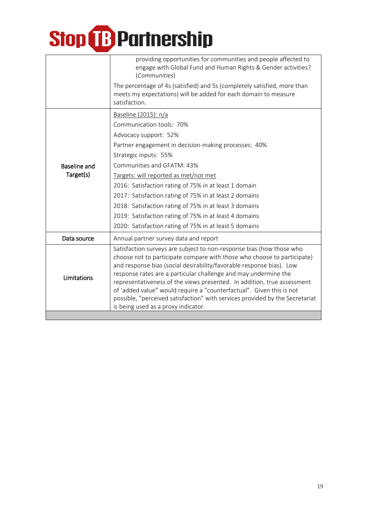|                     | providing opportunities for communities and people affected to<br>engage with Global Fund and Human Rights & Gender activities?<br>(Communities)                                                                                                                                                                                                                                                                                              |
|---------------------|-----------------------------------------------------------------------------------------------------------------------------------------------------------------------------------------------------------------------------------------------------------------------------------------------------------------------------------------------------------------------------------------------------------------------------------------------|
|                     | The percentage of 4s (satisfied) and 5s (completely satisfied, more than<br>meets my expectations) will be added for each domain to measure<br>satisfaction.                                                                                                                                                                                                                                                                                  |
|                     | Baseline (2015): n/a                                                                                                                                                                                                                                                                                                                                                                                                                          |
|                     | Communication tools: 70%                                                                                                                                                                                                                                                                                                                                                                                                                      |
|                     | Advocacy support: 52%                                                                                                                                                                                                                                                                                                                                                                                                                         |
| <b>Baseline and</b> | Partner engagement in decision-making processes: 40%                                                                                                                                                                                                                                                                                                                                                                                          |
|                     | Strategic inputs: 55%                                                                                                                                                                                                                                                                                                                                                                                                                         |
|                     | Communities and GFATM: 43%                                                                                                                                                                                                                                                                                                                                                                                                                    |
| Target(s)           | Targets: will reported as met/not met                                                                                                                                                                                                                                                                                                                                                                                                         |
|                     | 2016: Satisfaction rating of 75% in at least 1 domain                                                                                                                                                                                                                                                                                                                                                                                         |
|                     | 2017: Satisfaction rating of 75% in at least 2 domains                                                                                                                                                                                                                                                                                                                                                                                        |
|                     | 2018: Satisfaction rating of 75% in at least 3 domains                                                                                                                                                                                                                                                                                                                                                                                        |
|                     | 2019: Satisfaction rating of 75% in at least 4 domains                                                                                                                                                                                                                                                                                                                                                                                        |
|                     | 2020: Satisfaction rating of 75% in at least 5 domains                                                                                                                                                                                                                                                                                                                                                                                        |
| Data source         | Annual partner survey data and report                                                                                                                                                                                                                                                                                                                                                                                                         |
| Limitations         | Satisfaction surveys are subject to non-response bias (how those who<br>choose not to participate compare with those who choose to participate)<br>and response bias (social desirability/favorable response bias). Low<br>response rates are a particular challenge and may undermine the<br>representativeness of the views presented. In addition, true assessment<br>of 'added value" would require a "counterfactual". Given this is not |
|                     | possible, "perceived satisfaction" with services provided by the Secretariat<br>is being used as a proxy indicator.                                                                                                                                                                                                                                                                                                                           |
|                     |                                                                                                                                                                                                                                                                                                                                                                                                                                               |